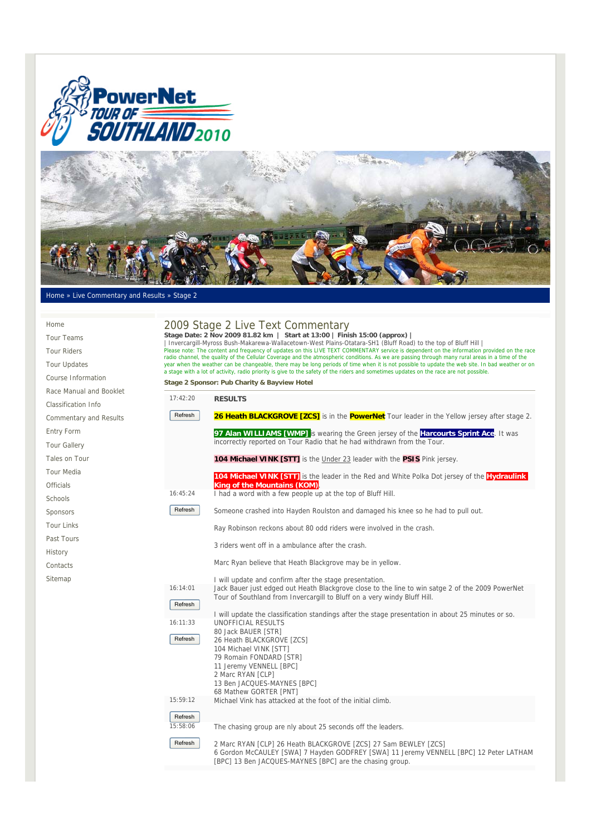



## Home » Live Commentary and Results » Stage 2

| Home                          |                                                                                                                                                                                                                                                                                                                                                                                                                                                                                           | 2009 Stage 2 Live Text Commentary                                                                                                                                                      |  |
|-------------------------------|-------------------------------------------------------------------------------------------------------------------------------------------------------------------------------------------------------------------------------------------------------------------------------------------------------------------------------------------------------------------------------------------------------------------------------------------------------------------------------------------|----------------------------------------------------------------------------------------------------------------------------------------------------------------------------------------|--|
| <b>Tour Teams</b>             | Stage Date: 2 Nov 2009 81.82 km   Start at 13:00   Finish 15:00 (approx)<br>Invercargill-Myross Bush-Makarewa-Wallacetown-West Plains-Otatara-SH1 (Bluff Road) to the top of Bluff Hill<br>Please note: The content and frequency of updates on this LIVE TEXT COMMENTARY service is dependent on the information provided on the race<br>radio channel, the quality of the Cellular Coverage and the atmospheric conditions. As we are passing through many rural areas in a time of the |                                                                                                                                                                                        |  |
| <b>Tour Riders</b>            |                                                                                                                                                                                                                                                                                                                                                                                                                                                                                           |                                                                                                                                                                                        |  |
| <b>Tour Updates</b>           |                                                                                                                                                                                                                                                                                                                                                                                                                                                                                           | year when the weather can be changeable, there may be long periods of time when it is not possible to update the web site. In bad weather or on                                        |  |
| Course Information            |                                                                                                                                                                                                                                                                                                                                                                                                                                                                                           | a stage with a lot of activity, radio priority is give to the safety of the riders and sometimes updates on the race are not possible.<br>Stage 2 Sponsor: Pub Charity & Bayview Hotel |  |
| Race Manual and Booklet       |                                                                                                                                                                                                                                                                                                                                                                                                                                                                                           |                                                                                                                                                                                        |  |
| <b>Classification Info</b>    | 17:42:20                                                                                                                                                                                                                                                                                                                                                                                                                                                                                  | <b>RESULTS</b>                                                                                                                                                                         |  |
| <b>Commentary and Results</b> | Refresh                                                                                                                                                                                                                                                                                                                                                                                                                                                                                   | 26 Heath BLACKGROVE [ZCS] is in the PowerNet Tour leader in the Yellow jersey after stage 2.                                                                                           |  |
| <b>Entry Form</b>             |                                                                                                                                                                                                                                                                                                                                                                                                                                                                                           | 97 Alan WILLIAMS [WMP] is wearing the Green jersey of the <b>Harcourts Sprint Ace.</b> It was                                                                                          |  |
| <b>Tour Gallery</b>           |                                                                                                                                                                                                                                                                                                                                                                                                                                                                                           | incorrectly reported on Tour Radio that he had withdrawn from the Tour.                                                                                                                |  |
| Tales on Tour                 |                                                                                                                                                                                                                                                                                                                                                                                                                                                                                           | <b>104 Michael VINK [STT]</b> is the Under 23 leader with the <b>PSIS</b> Pink jersey.                                                                                                 |  |
| <b>Tour Media</b>             |                                                                                                                                                                                                                                                                                                                                                                                                                                                                                           | 104 Michael VINK [STT] is the leader in the Red and White Polka Dot jersey of the Hydraulink                                                                                           |  |
| <b>Officials</b>              |                                                                                                                                                                                                                                                                                                                                                                                                                                                                                           | <b>King of the Mountains (KOM)</b>                                                                                                                                                     |  |
| Schools                       | 16:45:24                                                                                                                                                                                                                                                                                                                                                                                                                                                                                  | I had a word with a few people up at the top of Bluff Hill.                                                                                                                            |  |
| Sponsors                      | Refresh                                                                                                                                                                                                                                                                                                                                                                                                                                                                                   | Someone crashed into Hayden Roulston and damaged his knee so he had to pull out.                                                                                                       |  |
| <b>Tour Links</b>             |                                                                                                                                                                                                                                                                                                                                                                                                                                                                                           | Ray Robinson reckons about 80 odd riders were involved in the crash.                                                                                                                   |  |
| Past Tours                    |                                                                                                                                                                                                                                                                                                                                                                                                                                                                                           | 3 riders went off in a ambulance after the crash.                                                                                                                                      |  |
| History                       |                                                                                                                                                                                                                                                                                                                                                                                                                                                                                           |                                                                                                                                                                                        |  |
| Contacts                      |                                                                                                                                                                                                                                                                                                                                                                                                                                                                                           | Marc Ryan believe that Heath Blackgrove may be in yellow.                                                                                                                              |  |
| Sitemap                       |                                                                                                                                                                                                                                                                                                                                                                                                                                                                                           | I will update and confirm after the stage presentation.                                                                                                                                |  |
|                               | 16:14:01                                                                                                                                                                                                                                                                                                                                                                                                                                                                                  | Jack Bauer just edged out Heath Blackgrove close to the line to win satge 2 of the 2009 PowerNet<br>Tour of Southland from Invercargill to Bluff on a very windy Bluff Hill.           |  |
|                               | Refresh                                                                                                                                                                                                                                                                                                                                                                                                                                                                                   |                                                                                                                                                                                        |  |
|                               | 16:11:33                                                                                                                                                                                                                                                                                                                                                                                                                                                                                  | I will update the classification standings after the stage presentation in about 25 minutes or so.<br>UNOFFICIAL RESULTS                                                               |  |
|                               |                                                                                                                                                                                                                                                                                                                                                                                                                                                                                           | 80 Jack BAUER [STR]                                                                                                                                                                    |  |
|                               | Refresh                                                                                                                                                                                                                                                                                                                                                                                                                                                                                   | 26 Heath BLACKGROVE [ZCS]<br>104 Michael VINK [STT]                                                                                                                                    |  |
|                               |                                                                                                                                                                                                                                                                                                                                                                                                                                                                                           | 79 Romain FONDARD [STR]                                                                                                                                                                |  |
|                               |                                                                                                                                                                                                                                                                                                                                                                                                                                                                                           | 11 Jeremy VENNELL [BPC]<br>2 Marc RYAN [CLP]                                                                                                                                           |  |
|                               |                                                                                                                                                                                                                                                                                                                                                                                                                                                                                           | 13 Ben JACQUES-MAYNES [BPC]                                                                                                                                                            |  |
|                               |                                                                                                                                                                                                                                                                                                                                                                                                                                                                                           | 68 Mathew GORTER [PNT]                                                                                                                                                                 |  |
|                               | 15:59:12                                                                                                                                                                                                                                                                                                                                                                                                                                                                                  | Michael Vink has attacked at the foot of the initial climb.                                                                                                                            |  |
|                               | Refresh                                                                                                                                                                                                                                                                                                                                                                                                                                                                                   |                                                                                                                                                                                        |  |

The chasing group are nly about 25 seconds off the leaders.

15:58:06

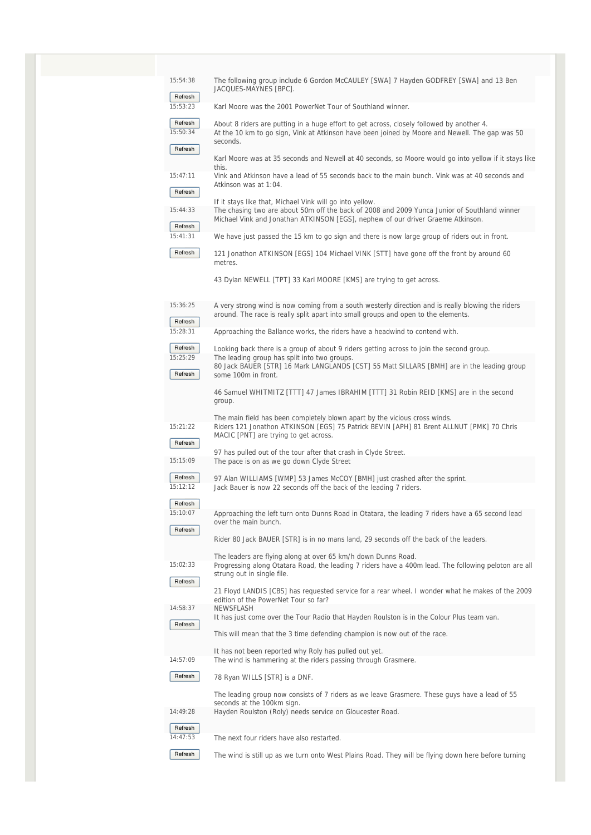| 15:54:38<br>Refresh | The following group include 6 Gordon McCAULEY [SWA] 7 Hayden GODFREY [SWA] and 13 Ben<br>JACQUES-MAYNES [BPC].                                                                                                  |
|---------------------|-----------------------------------------------------------------------------------------------------------------------------------------------------------------------------------------------------------------|
| 15:53:23            | Karl Moore was the 2001 PowerNet Tour of Southland winner.                                                                                                                                                      |
|                     |                                                                                                                                                                                                                 |
| Refresh<br>15:50:34 | About 8 riders are putting in a huge effort to get across, closely followed by another 4.<br>At the 10 km to go sign, Vink at Atkinson have been joined by Moore and Newell. The gap was 50                     |
| Refresh             | seconds.                                                                                                                                                                                                        |
|                     | Karl Moore was at 35 seconds and Newell at 40 seconds, so Moore would go into yellow if it stays like<br>this.                                                                                                  |
| 15:47:11<br>Refresh | Vink and Atkinson have a lead of 55 seconds back to the main bunch. Vink was at 40 seconds and<br>Atkinson was at 1:04.                                                                                         |
|                     | If it stays like that, Michael Vink will go into yellow.                                                                                                                                                        |
| 15:44:33            | The chasing two are about 50m off the back of 2008 and 2009 Yunca Junior of Southland winner<br>Michael Vink and Jonathan ATKINSON [EGS], nephew of our driver Graeme Atkinson.                                 |
| Refresh<br>15:41:31 | We have just passed the 15 km to go sign and there is now large group of riders out in front.                                                                                                                   |
| Refresh             | 121 Jonathon ATKINSON [EGS] 104 Michael VINK [STT] have gone off the front by around 60<br>metres.                                                                                                              |
|                     | 43 Dylan NEWELL [TPT] 33 Karl MOORE [KMS] are trying to get across.                                                                                                                                             |
| 15:36:25<br>Refresh | A very strong wind is now coming from a south westerly direction and is really blowing the riders<br>around. The race is really split apart into small groups and open to the elements.                         |
| 15:28:31            | Approaching the Ballance works, the riders have a headwind to contend with.                                                                                                                                     |
| Refresh             | Looking back there is a group of about 9 riders getting across to join the second group.                                                                                                                        |
| 15:25:29<br>Refresh | The leading group has split into two groups.<br>80 Jack BAUER [STR] 16 Mark LANGLANDS [CST] 55 Matt SILLARS [BMH] are in the leading group<br>some 100m in front.                                               |
|                     | 46 Samuel WHITMITZ [TTT] 47 James IBRAHIM [TTT] 31 Robin REID [KMS] are in the second<br>group.                                                                                                                 |
| 15:21:22            | The main field has been completely blown apart by the vicious cross winds.<br>Riders 121 Jonathon ATKINSON [EGS] 75 Patrick BEVIN [APH] 81 Brent ALLNUT [PMK] 70 Chris<br>MACIC [PNT] are trying to get across. |
| Refresh             | 97 has pulled out of the tour after that crash in Clyde Street.                                                                                                                                                 |
| 15:15:09            | The pace is on as we go down Clyde Street                                                                                                                                                                       |
| Refresh<br>15:12:12 | 97 Alan WILLIAMS [WMP] 53 James McCOY [BMH] just crashed after the sprint.<br>Jack Bauer is now 22 seconds off the back of the leading 7 riders.                                                                |
| Refresh<br>15:10:07 | Approaching the left turn onto Dunns Road in Otatara, the leading 7 riders have a 65 second lead                                                                                                                |
| Refresh             | over the main bunch.                                                                                                                                                                                            |
|                     | Rider 80 Jack BAUER [STR] is in no mans land, 29 seconds off the back of the leaders.                                                                                                                           |
| 15:02:33            | The leaders are flying along at over 65 km/h down Dunns Road.<br>Progressing along Otatara Road, the leading 7 riders have a 400m lead. The following peloton are all<br>strung out in single file.             |
| Refresh             | 21 Floyd LANDIS [CBS] has requested service for a rear wheel. I wonder what he makes of the 2009                                                                                                                |
| 14:58:37            | edition of the PowerNet Tour so far?<br><b>NEWSFLASH</b><br>It has just come over the Tour Radio that Hayden Roulston is in the Colour Plus team van.                                                           |
| Refresh             | This will mean that the 3 time defending champion is now out of the race.                                                                                                                                       |
|                     | It has not been reported why Roly has pulled out yet.                                                                                                                                                           |
| 14:57:09<br>Refresh | The wind is hammering at the riders passing through Grasmere.                                                                                                                                                   |
|                     | 78 Ryan WILLS [STR] is a DNF.<br>The leading group now consists of 7 riders as we leave Grasmere. These guys have a lead of 55                                                                                  |
| 14:49:28            | seconds at the 100km sign.<br>Hayden Roulston (Roly) needs service on Gloucester Road.                                                                                                                          |
| Refresh             |                                                                                                                                                                                                                 |
| 14:47:53            | The next four riders have also restarted.                                                                                                                                                                       |
| Refresh             | The wind is still up as we turn onto West Plains Road. They will be flying down here before turning                                                                                                             |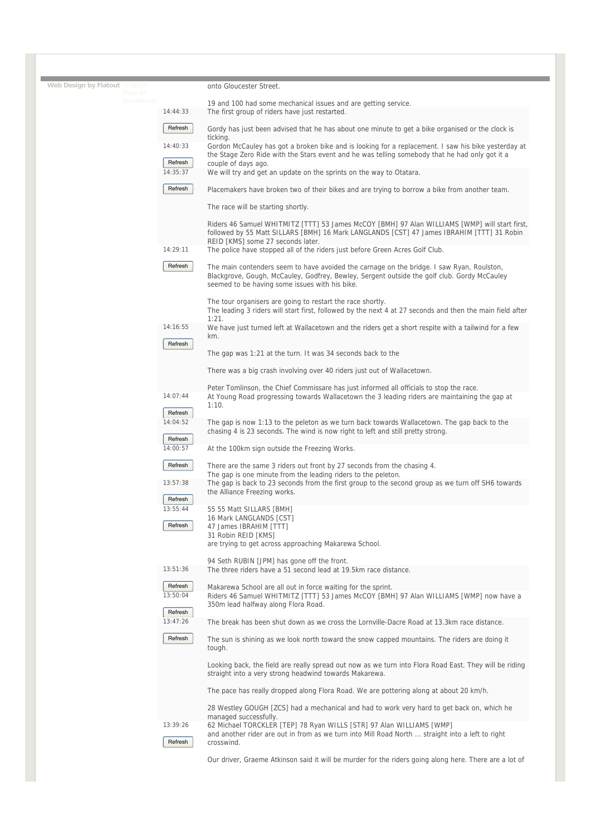| Web Design by Flatout © 2009<br>Tour of |                     | onto Gloucester Street.                                                                                                                                                                                                                    |
|-----------------------------------------|---------------------|--------------------------------------------------------------------------------------------------------------------------------------------------------------------------------------------------------------------------------------------|
| Southland.                              | 14:44:33            | 19 and 100 had some mechanical issues and are getting service.<br>The first group of riders have just restarted.                                                                                                                           |
|                                         | Refresh             | Gordy has just been advised that he has about one minute to get a bike organised or the clock is                                                                                                                                           |
|                                         | 14:40:33            | ticking.<br>Gordon McCauley has got a broken bike and is looking for a replacement. I saw his bike yesterday at                                                                                                                            |
|                                         | Refresh<br>14:35:37 | the Stage Zero Ride with the Stars event and he was telling somebody that he had only got it a<br>couple of days ago.<br>We will try and get an update on the sprints on the way to Otatara.                                               |
|                                         | Refresh             |                                                                                                                                                                                                                                            |
|                                         |                     | Placemakers have broken two of their bikes and are trying to borrow a bike from another team.<br>The race will be starting shortly.                                                                                                        |
|                                         |                     | Riders 46 Samuel WHITMITZ [TTT] 53 James McCOY [BMH] 97 Alan WILLIAMS [WMP] will start first,<br>followed by 55 Matt SILLARS [BMH] 16 Mark LANGLANDS [CST] 47 James IBRAHIM [TTT] 31 Robin                                                 |
|                                         | 14:29:11            | REID [KMS] some 27 seconds later.<br>The police have stopped all of the riders just before Green Acres Golf Club.                                                                                                                          |
|                                         |                     |                                                                                                                                                                                                                                            |
|                                         | Refresh             | The main contenders seem to have avoided the carnage on the bridge. I saw Ryan, Roulston,<br>Blackgrove, Gough, McCauley, Godfrey, Bewley, Sergent outside the golf club. Gordy McCauley<br>seemed to be having some issues with his bike. |
|                                         |                     | The tour organisers are going to restart the race shortly.<br>The leading 3 riders will start first, followed by the next 4 at 27 seconds and then the main field after<br>1:21.                                                           |
|                                         | 14:16:55            | We have just turned left at Wallacetown and the riders get a short respite with a tailwind for a few<br>km.                                                                                                                                |
|                                         | Refresh             | The gap was 1:21 at the turn. It was 34 seconds back to the                                                                                                                                                                                |
|                                         |                     | There was a big crash involving over 40 riders just out of Wallacetown.                                                                                                                                                                    |
|                                         | 14:07:44            | Peter Tomlinson, the Chief Commissare has just informed all officials to stop the race.<br>At Young Road progressing towards Wallacetown the 3 leading riders are maintaining the gap at                                                   |
|                                         | Refresh             | 1:10.                                                                                                                                                                                                                                      |
|                                         | 14:04:52            | The gap is now 1:13 to the peleton as we turn back towards Wallacetown. The gap back to the                                                                                                                                                |
|                                         | Refresh             | chasing 4 is 23 seconds. The wind is now right to left and still pretty strong.                                                                                                                                                            |
|                                         | 14:00:57            | At the 100km sign outside the Freezing Works.                                                                                                                                                                                              |
|                                         | Refresh             | There are the same 3 riders out front by 27 seconds from the chasing 4.<br>The gap is one minute from the leading riders to the peleton.                                                                                                   |
|                                         | 13:57:38            | The gap is back to 23 seconds from the first group to the second group as we turn off SH6 towards<br>the Alliance Freezing works.                                                                                                          |
|                                         | Refresh<br>13:55:44 | 55 55 Matt SILLARS [BMH]                                                                                                                                                                                                                   |
|                                         | Refresh             | 16 Mark LANGLANDS [CST]<br>47 James IBRAHIM [TTT]                                                                                                                                                                                          |
|                                         |                     | 31 Robin REID [KMS]<br>are trying to get across approaching Makarewa School.                                                                                                                                                               |
|                                         | 13:51:36            | 94 Seth RUBIN [JPM] has gone off the front.<br>The three riders have a 51 second lead at 19.5km race distance.                                                                                                                             |
|                                         |                     |                                                                                                                                                                                                                                            |
|                                         | Refresh<br>13:50:04 | Makarewa School are all out in force waiting for the sprint.<br>Riders 46 Samuel WHITMITZ [TTT] 53 James McCOY [BMH] 97 Alan WILLIAMS [WMP] now have a<br>350m lead halfway along Flora Road.                                              |
|                                         | Refresh<br>13:47:26 | The break has been shut down as we cross the Lornville-Dacre Road at 13.3km race distance.                                                                                                                                                 |
|                                         | Refresh             | The sun is shining as we look north toward the snow capped mountains. The riders are doing it                                                                                                                                              |
|                                         |                     | tough.                                                                                                                                                                                                                                     |
|                                         |                     | Looking back, the field are really spread out now as we turn into Flora Road East. They will be riding<br>straight into a very strong headwind towards Makarewa.                                                                           |
|                                         |                     | The pace has really dropped along Flora Road. We are pottering along at about 20 km/h.                                                                                                                                                     |
|                                         |                     | 28 Westley GOUGH [ZCS] had a mechanical and had to work very hard to get back on, which he<br>managed successfully.                                                                                                                        |
|                                         | 13:39:26<br>Refresh | 62 Michael TORCKLER [TEP] 78 Ryan WILLS [STR] 97 Alan WILLIAMS [WMP]<br>and another rider are out in from as we turn into Mill Road North  straight into a left to right<br>crosswind.                                                     |
|                                         |                     | Our driver, Graeme Atkinson said it will be murder for the riders going along here. There are a lot of                                                                                                                                     |